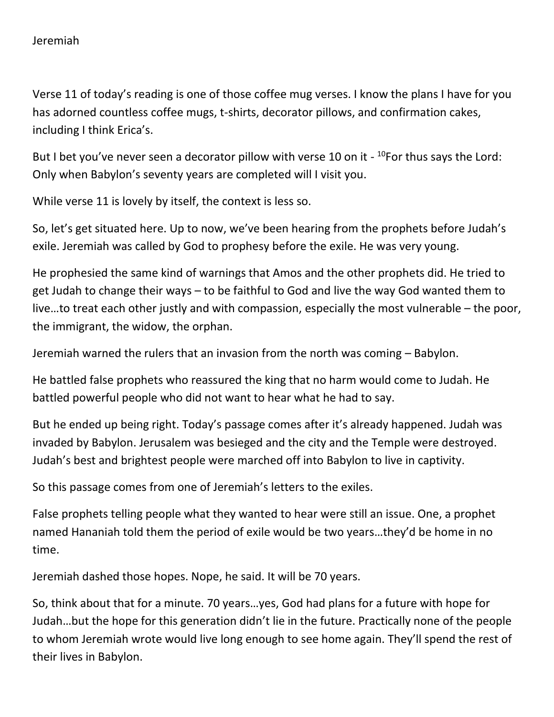Verse 11 of today's reading is one of those coffee mug verses. I know the plans I have for you has adorned countless coffee mugs, t-shirts, decorator pillows, and confirmation cakes, including I think Erica's.

But I bet you've never seen a decorator pillow with verse 10 on it - <sup>10</sup>For thus says the Lord: Only when Babylon's seventy years are completed will I visit you.

While verse 11 is lovely by itself, the context is less so.

So, let's get situated here. Up to now, we've been hearing from the prophets before Judah's exile. Jeremiah was called by God to prophesy before the exile. He was very young.

He prophesied the same kind of warnings that Amos and the other prophets did. He tried to get Judah to change their ways – to be faithful to God and live the way God wanted them to live…to treat each other justly and with compassion, especially the most vulnerable – the poor, the immigrant, the widow, the orphan.

Jeremiah warned the rulers that an invasion from the north was coming – Babylon.

He battled false prophets who reassured the king that no harm would come to Judah. He battled powerful people who did not want to hear what he had to say.

But he ended up being right. Today's passage comes after it's already happened. Judah was invaded by Babylon. Jerusalem was besieged and the city and the Temple were destroyed. Judah's best and brightest people were marched off into Babylon to live in captivity.

So this passage comes from one of Jeremiah's letters to the exiles.

False prophets telling people what they wanted to hear were still an issue. One, a prophet named Hananiah told them the period of exile would be two years…they'd be home in no time.

Jeremiah dashed those hopes. Nope, he said. It will be 70 years.

So, think about that for a minute. 70 years…yes, God had plans for a future with hope for Judah…but the hope for this generation didn't lie in the future. Practically none of the people to whom Jeremiah wrote would live long enough to see home again. They'll spend the rest of their lives in Babylon.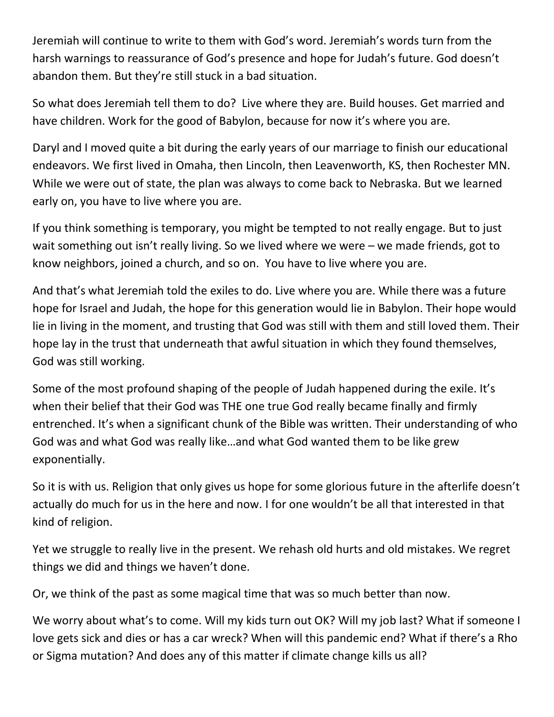Jeremiah will continue to write to them with God's word. Jeremiah's words turn from the harsh warnings to reassurance of God's presence and hope for Judah's future. God doesn't abandon them. But they're still stuck in a bad situation.

So what does Jeremiah tell them to do? Live where they are. Build houses. Get married and have children. Work for the good of Babylon, because for now it's where you are.

Daryl and I moved quite a bit during the early years of our marriage to finish our educational endeavors. We first lived in Omaha, then Lincoln, then Leavenworth, KS, then Rochester MN. While we were out of state, the plan was always to come back to Nebraska. But we learned early on, you have to live where you are.

If you think something is temporary, you might be tempted to not really engage. But to just wait something out isn't really living. So we lived where we were – we made friends, got to know neighbors, joined a church, and so on. You have to live where you are.

And that's what Jeremiah told the exiles to do. Live where you are. While there was a future hope for Israel and Judah, the hope for this generation would lie in Babylon. Their hope would lie in living in the moment, and trusting that God was still with them and still loved them. Their hope lay in the trust that underneath that awful situation in which they found themselves, God was still working.

Some of the most profound shaping of the people of Judah happened during the exile. It's when their belief that their God was THE one true God really became finally and firmly entrenched. It's when a significant chunk of the Bible was written. Their understanding of who God was and what God was really like…and what God wanted them to be like grew exponentially.

So it is with us. Religion that only gives us hope for some glorious future in the afterlife doesn't actually do much for us in the here and now. I for one wouldn't be all that interested in that kind of religion.

Yet we struggle to really live in the present. We rehash old hurts and old mistakes. We regret things we did and things we haven't done.

Or, we think of the past as some magical time that was so much better than now.

We worry about what's to come. Will my kids turn out OK? Will my job last? What if someone I love gets sick and dies or has a car wreck? When will this pandemic end? What if there's a Rho or Sigma mutation? And does any of this matter if climate change kills us all?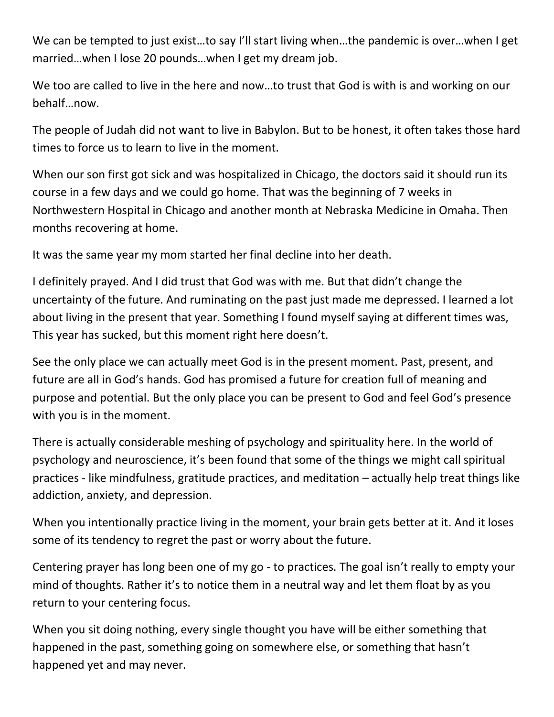We can be tempted to just exist...to say I'll start living when...the pandemic is over...when I get married…when I lose 20 pounds…when I get my dream job.

We too are called to live in the here and now...to trust that God is with is and working on our behalf…now.

The people of Judah did not want to live in Babylon. But to be honest, it often takes those hard times to force us to learn to live in the moment.

When our son first got sick and was hospitalized in Chicago, the doctors said it should run its course in a few days and we could go home. That was the beginning of 7 weeks in Northwestern Hospital in Chicago and another month at Nebraska Medicine in Omaha. Then months recovering at home.

It was the same year my mom started her final decline into her death.

I definitely prayed. And I did trust that God was with me. But that didn't change the uncertainty of the future. And ruminating on the past just made me depressed. I learned a lot about living in the present that year. Something I found myself saying at different times was, This year has sucked, but this moment right here doesn't.

See the only place we can actually meet God is in the present moment. Past, present, and future are all in God's hands. God has promised a future for creation full of meaning and purpose and potential. But the only place you can be present to God and feel God's presence with you is in the moment.

There is actually considerable meshing of psychology and spirituality here. In the world of psychology and neuroscience, it's been found that some of the things we might call spiritual practices - like mindfulness, gratitude practices, and meditation – actually help treat things like addiction, anxiety, and depression.

When you intentionally practice living in the moment, your brain gets better at it. And it loses some of its tendency to regret the past or worry about the future.

Centering prayer has long been one of my go - to practices. The goal isn't really to empty your mind of thoughts. Rather it's to notice them in a neutral way and let them float by as you return to your centering focus.

When you sit doing nothing, every single thought you have will be either something that happened in the past, something going on somewhere else, or something that hasn't happened yet and may never.